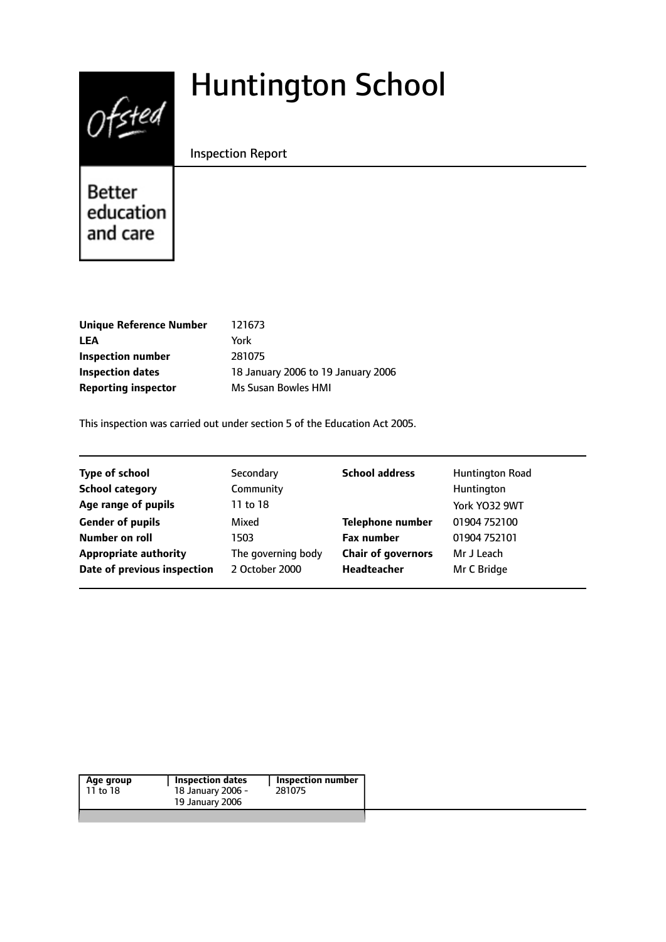# $0$ fsted

# Huntington School

Inspection Report

Better education and care

| Unique Reference Number    | 121673                             |
|----------------------------|------------------------------------|
| LEA                        | York                               |
| Inspection number          | 281075                             |
| <b>Inspection dates</b>    | 18 January 2006 to 19 January 2006 |
| <b>Reporting inspector</b> | Ms Susan Bowles HMI                |

This inspection was carried out under section 5 of the Education Act 2005.

| <b>Type of school</b>        | Secondary          | <b>School address</b>     | Huntington Road |
|------------------------------|--------------------|---------------------------|-----------------|
| <b>School category</b>       | Community          |                           | Huntington      |
| Age range of pupils          | 11 to 18           |                           | York YO32 9WT   |
| <b>Gender of pupils</b>      | Mixed              | <b>Telephone number</b>   | 01904 752100    |
| Number on roll               | 1503               | <b>Fax number</b>         | 01904 752101    |
| <b>Appropriate authority</b> | The governing body | <b>Chair of governors</b> | Mr J Leach      |
| Date of previous inspection  | 2 October 2000     | Headteacher               | Mr C Bridge     |
|                              |                    |                           |                 |

|                   | Inspection number |
|-------------------|-------------------|
| 18 January 2006 - | 281075            |
| 19 January 2006   |                   |
|                   |                   |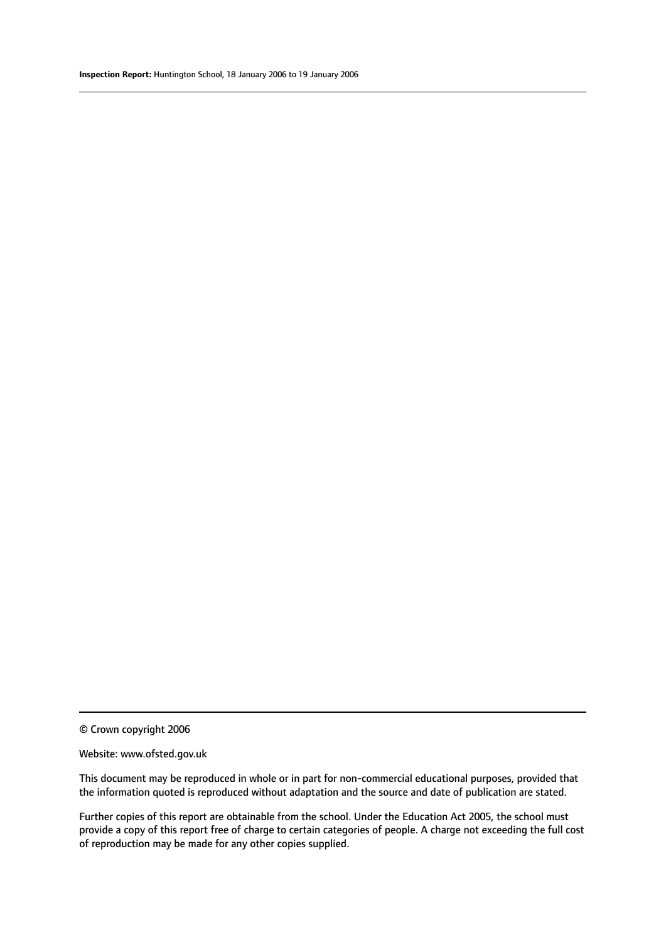© Crown copyright 2006

#### Website: www.ofsted.gov.uk

This document may be reproduced in whole or in part for non-commercial educational purposes, provided that the information quoted is reproduced without adaptation and the source and date of publication are stated.

Further copies of this report are obtainable from the school. Under the Education Act 2005, the school must provide a copy of this report free of charge to certain categories of people. A charge not exceeding the full cost of reproduction may be made for any other copies supplied.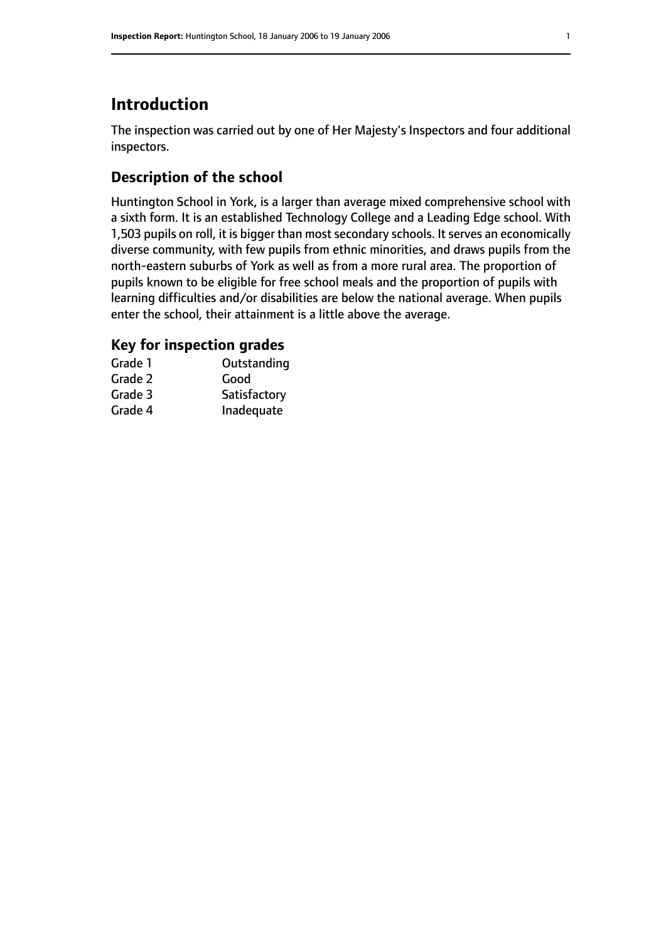# **Introduction**

The inspection was carried out by one of Her Majesty's Inspectors and four additional inspectors.

### **Description of the school**

Huntington School in York, is a larger than average mixed comprehensive school with a sixth form. It is an established Technology College and a Leading Edge school. With 1,503 pupils on roll, it is bigger than most secondary schools. It serves an economically diverse community, with few pupils from ethnic minorities, and draws pupils from the north-eastern suburbs of York as well as from a more rural area. The proportion of pupils known to be eligible for free school meals and the proportion of pupils with learning difficulties and/or disabilities are below the national average. When pupils enter the school, their attainment is a little above the average.

# **Key for inspection grades**

| Grade 1 | Outstanding  |
|---------|--------------|
| Grade 2 | Good         |
| Grade 3 | Satisfactory |
| Grade 4 | Inadequate   |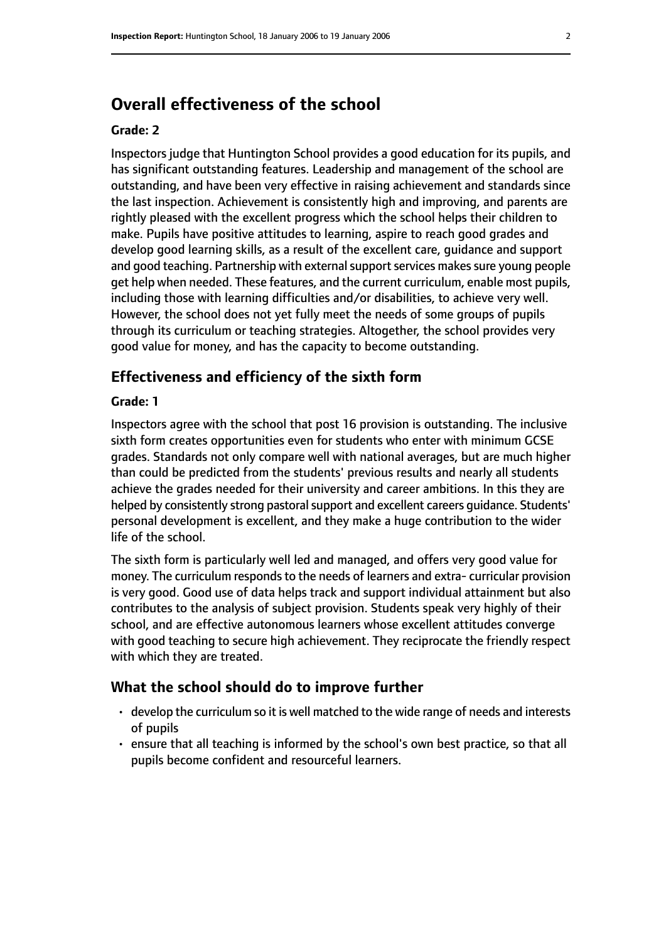# **Overall effectiveness of the school**

#### **Grade: 2**

Inspectors judge that Huntington School provides a good education for its pupils, and has significant outstanding features. Leadership and management of the school are outstanding, and have been very effective in raising achievement and standards since the last inspection. Achievement is consistently high and improving, and parents are rightly pleased with the excellent progress which the school helps their children to make. Pupils have positive attitudes to learning, aspire to reach good grades and develop good learning skills, as a result of the excellent care, guidance and support and good teaching. Partnership with external support services makes sure young people get help when needed. These features, and the current curriculum, enable most pupils, including those with learning difficulties and/or disabilities, to achieve very well. However, the school does not yet fully meet the needs of some groups of pupils through its curriculum or teaching strategies. Altogether, the school provides very good value for money, and has the capacity to become outstanding.

#### **Effectiveness and efficiency of the sixth form**

#### **Grade: 1**

Inspectors agree with the school that post 16 provision is outstanding. The inclusive sixth form creates opportunities even for students who enter with minimum GCSE grades. Standards not only compare well with national averages, but are much higher than could be predicted from the students' previous results and nearly all students achieve the grades needed for their university and career ambitions. In this they are helped by consistently strong pastoral support and excellent careers quidance. Students' personal development is excellent, and they make a huge contribution to the wider life of the school.

The sixth form is particularly well led and managed, and offers very good value for money. The curriculum responds to the needs of learners and extra- curricular provision is very good. Good use of data helps track and support individual attainment but also contributes to the analysis of subject provision. Students speak very highly of their school, and are effective autonomous learners whose excellent attitudes converge with good teaching to secure high achievement. They reciprocate the friendly respect with which they are treated.

#### **What the school should do to improve further**

- develop the curriculum so it is well matched to the wide range of needs and interests of pupils
- ensure that all teaching is informed by the school's own best practice, so that all pupils become confident and resourceful learners.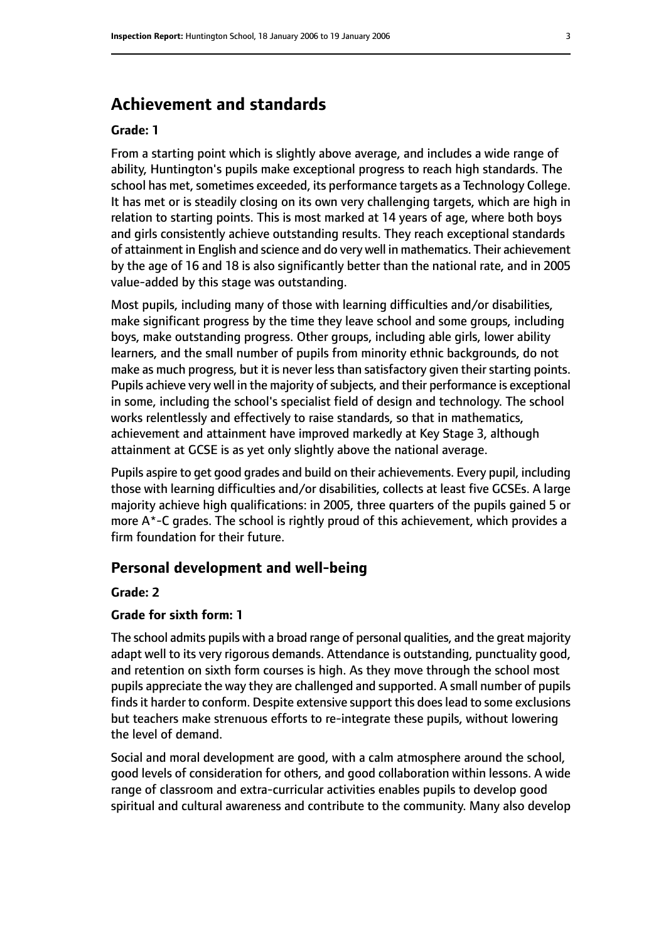# **Achievement and standards**

#### **Grade: 1**

From a starting point which is slightly above average, and includes a wide range of ability, Huntington's pupils make exceptional progress to reach high standards. The school has met, sometimes exceeded, its performance targets as a Technology College. It has met or is steadily closing on its own very challenging targets, which are high in relation to starting points. This is most marked at 14 years of age, where both boys and girls consistently achieve outstanding results. They reach exceptional standards of attainment in English and science and do very well in mathematics. Their achievement by the age of 16 and 18 is also significantly better than the national rate, and in 2005 value-added by this stage was outstanding.

Most pupils, including many of those with learning difficulties and/or disabilities, make significant progress by the time they leave school and some groups, including boys, make outstanding progress. Other groups, including able girls, lower ability learners, and the small number of pupils from minority ethnic backgrounds, do not make as much progress, but it is never less than satisfactory given their starting points. Pupils achieve very well in the majority of subjects, and their performance is exceptional in some, including the school's specialist field of design and technology. The school works relentlessly and effectively to raise standards, so that in mathematics, achievement and attainment have improved markedly at Key Stage 3, although attainment at GCSE is as yet only slightly above the national average.

Pupils aspire to get good grades and build on their achievements. Every pupil, including those with learning difficulties and/or disabilities, collects at least five GCSEs. A large majority achieve high qualifications: in 2005, three quarters of the pupils gained 5 or more A\*-C grades. The school is rightly proud of this achievement, which provides a firm foundation for their future.

#### **Personal development and well-being**

#### **Grade: 2**

#### **Grade for sixth form: 1**

The school admits pupils with a broad range of personal qualities, and the great majority adapt well to its very rigorous demands. Attendance is outstanding, punctuality good, and retention on sixth form courses is high. As they move through the school most pupils appreciate the way they are challenged and supported. A small number of pupils finds it harder to conform. Despite extensive support this does lead to some exclusions but teachers make strenuous efforts to re-integrate these pupils, without lowering the level of demand.

Social and moral development are good, with a calm atmosphere around the school, good levels of consideration for others, and good collaboration within lessons. A wide range of classroom and extra-curricular activities enables pupils to develop good spiritual and cultural awareness and contribute to the community. Many also develop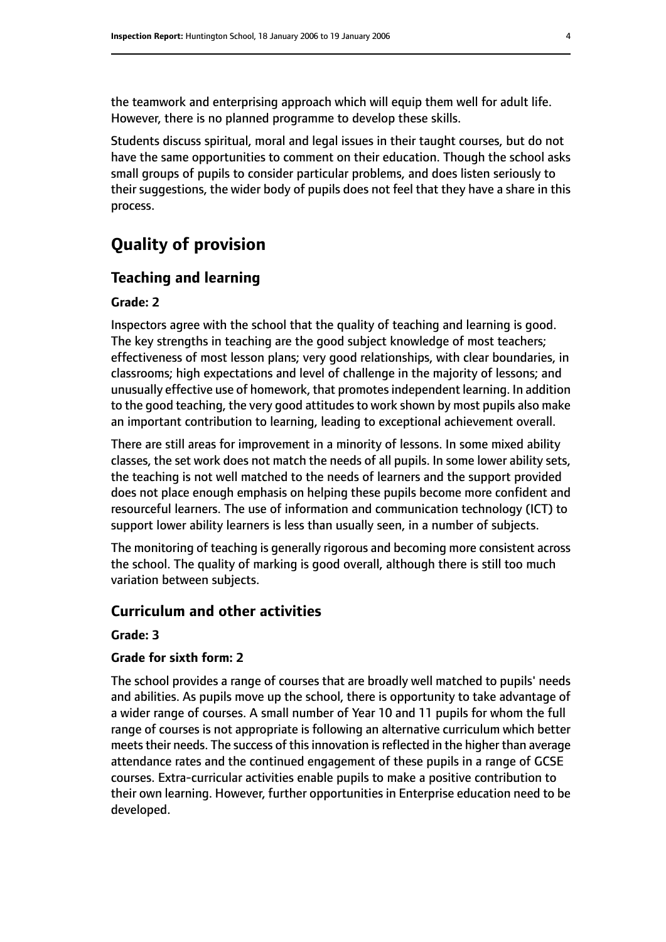the teamwork and enterprising approach which will equip them well for adult life. However, there is no planned programme to develop these skills.

Students discuss spiritual, moral and legal issues in their taught courses, but do not have the same opportunities to comment on their education. Though the school asks small groups of pupils to consider particular problems, and does listen seriously to their suggestions, the wider body of pupils does not feel that they have a share in this process.

# **Quality of provision**

#### **Teaching and learning**

#### **Grade: 2**

Inspectors agree with the school that the quality of teaching and learning is good. The key strengths in teaching are the good subject knowledge of most teachers; effectiveness of most lesson plans; very good relationships, with clear boundaries, in classrooms; high expectations and level of challenge in the majority of lessons; and unusually effective use of homework, that promotesindependent learning. In addition to the good teaching, the very good attitudes to work shown by most pupils also make an important contribution to learning, leading to exceptional achievement overall.

There are still areas for improvement in a minority of lessons. In some mixed ability classes, the set work does not match the needs of all pupils. In some lower ability sets, the teaching is not well matched to the needs of learners and the support provided does not place enough emphasis on helping these pupils become more confident and resourceful learners. The use of information and communication technology (ICT) to support lower ability learners is less than usually seen, in a number of subjects.

The monitoring of teaching is generally rigorous and becoming more consistent across the school. The quality of marking is good overall, although there is still too much variation between subjects.

#### **Curriculum and other activities**

#### **Grade: 3**

#### **Grade for sixth form: 2**

The school provides a range of courses that are broadly well matched to pupils' needs and abilities. As pupils move up the school, there is opportunity to take advantage of a wider range of courses. A small number of Year 10 and 11 pupils for whom the full range of courses is not appropriate is following an alternative curriculum which better meets their needs. The success of this innovation is reflected in the higher than average attendance rates and the continued engagement of these pupils in a range of GCSE courses. Extra-curricular activities enable pupils to make a positive contribution to their own learning. However, further opportunities in Enterprise education need to be developed.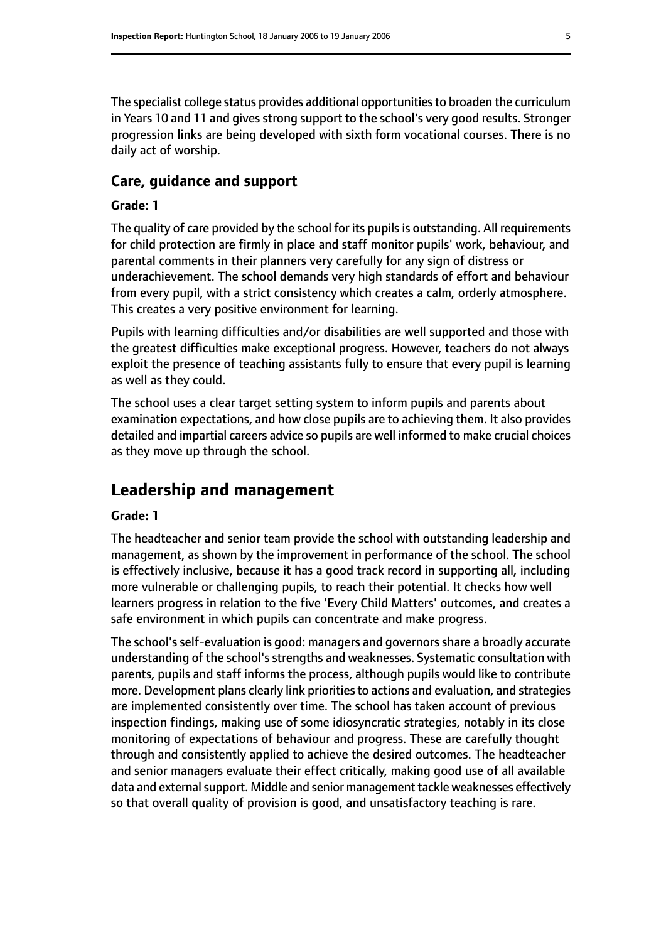The specialist college status provides additional opportunities to broaden the curriculum in Years 10 and 11 and gives strong support to the school's very good results. Stronger progression links are being developed with sixth form vocational courses. There is no daily act of worship.

#### **Care, guidance and support**

#### **Grade: 1**

The quality of care provided by the school for its pupils is outstanding. All requirements for child protection are firmly in place and staff monitor pupils' work, behaviour, and parental comments in their planners very carefully for any sign of distress or underachievement. The school demands very high standards of effort and behaviour from every pupil, with a strict consistency which creates a calm, orderly atmosphere. This creates a very positive environment for learning.

Pupils with learning difficulties and/or disabilities are well supported and those with the greatest difficulties make exceptional progress. However, teachers do not always exploit the presence of teaching assistants fully to ensure that every pupil is learning as well as they could.

The school uses a clear target setting system to inform pupils and parents about examination expectations, and how close pupils are to achieving them. It also provides detailed and impartial careers advice so pupils are well informed to make crucial choices as they move up through the school.

# **Leadership and management**

#### **Grade: 1**

The headteacher and senior team provide the school with outstanding leadership and management, as shown by the improvement in performance of the school. The school is effectively inclusive, because it has a good track record in supporting all, including more vulnerable or challenging pupils, to reach their potential. It checks how well learners progress in relation to the five 'Every Child Matters' outcomes, and creates a safe environment in which pupils can concentrate and make progress.

The school'sself-evaluation is good: managers and governorsshare a broadly accurate understanding of the school's strengths and weaknesses. Systematic consultation with parents, pupils and staff informs the process, although pupils would like to contribute more. Development plans clearly link priorities to actions and evaluation, and strategies are implemented consistently over time. The school has taken account of previous inspection findings, making use of some idiosyncratic strategies, notably in its close monitoring of expectations of behaviour and progress. These are carefully thought through and consistently applied to achieve the desired outcomes. The headteacher and senior managers evaluate their effect critically, making good use of all available data and external support. Middle and senior management tackle weaknesses effectively so that overall quality of provision is good, and unsatisfactory teaching is rare.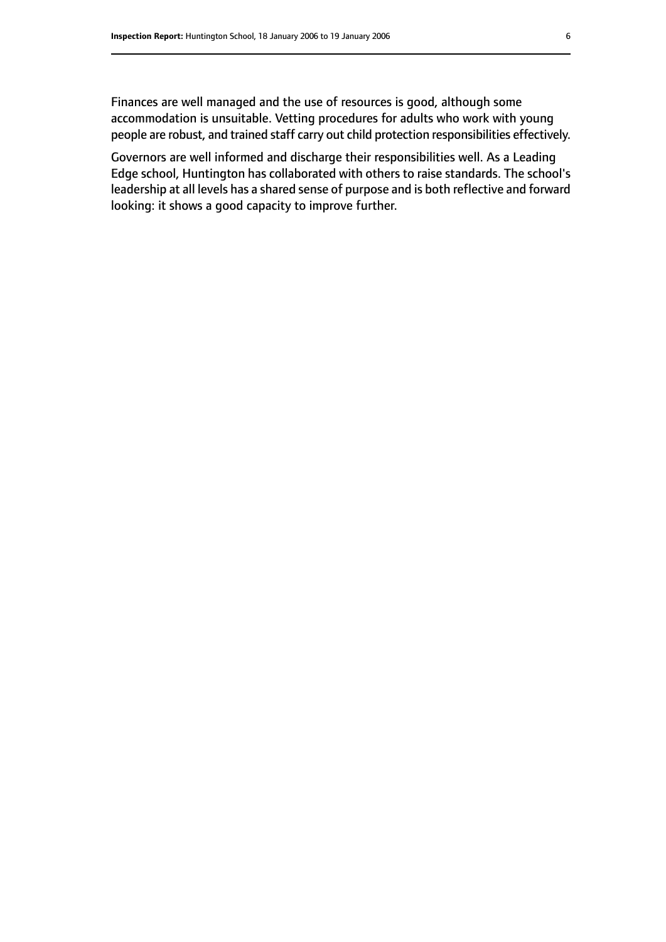Finances are well managed and the use of resources is good, although some accommodation is unsuitable. Vetting procedures for adults who work with young people are robust, and trained staff carry out child protection responsibilities effectively.

Governors are well informed and discharge their responsibilities well. As a Leading Edge school, Huntington has collaborated with others to raise standards. The school's leadership at all levels has a shared sense of purpose and is both reflective and forward looking: it shows a good capacity to improve further.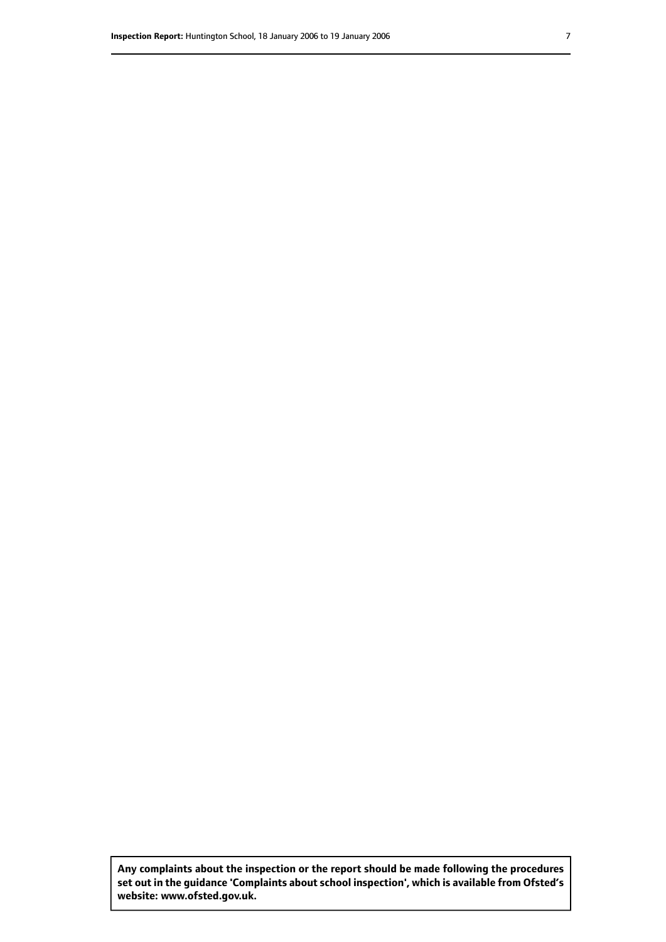**Any complaints about the inspection or the report should be made following the procedures set out inthe guidance 'Complaints about school inspection', whichis available from Ofsted's website: www.ofsted.gov.uk.**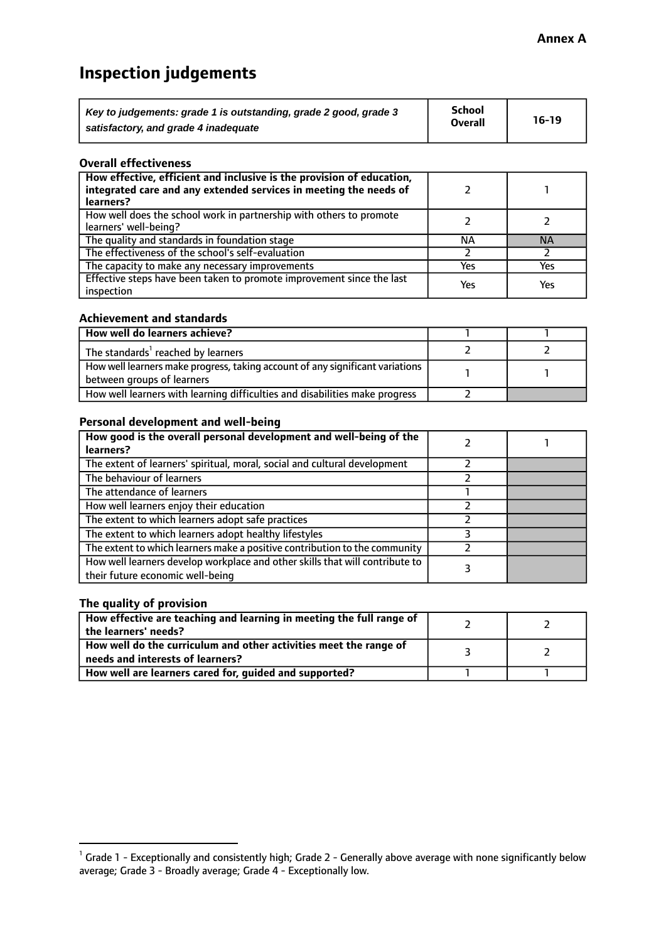# **Inspection judgements**

| Key to judgements: grade 1 is outstanding, grade 2 good, grade 3 | School         | $16-19$ |
|------------------------------------------------------------------|----------------|---------|
| satisfactory, and grade 4 inadequate                             | <b>Overall</b> |         |

#### **Overall effectiveness**

| How effective, efficient and inclusive is the provision of education,<br>integrated care and any extended services in meeting the needs of<br>learners? |     |           |
|---------------------------------------------------------------------------------------------------------------------------------------------------------|-----|-----------|
| How well does the school work in partnership with others to promote<br>learners' well-being?                                                            |     |           |
| The quality and standards in foundation stage                                                                                                           | ΝA  | <b>NA</b> |
| The effectiveness of the school's self-evaluation                                                                                                       |     |           |
| The capacity to make any necessary improvements                                                                                                         | Yes | Yes       |
| Effective steps have been taken to promote improvement since the last<br>inspection                                                                     | Yes | Yes       |

#### **Achievement and standards**

| How well do learners achieve?                                                                                 |  |
|---------------------------------------------------------------------------------------------------------------|--|
| The standards <sup>1</sup> reached by learners                                                                |  |
| How well learners make progress, taking account of any significant variations  <br>between groups of learners |  |
| How well learners with learning difficulties and disabilities make progress                                   |  |

#### **Personal development and well-being**

| How good is the overall personal development and well-being of the<br>learners?                                  |  |
|------------------------------------------------------------------------------------------------------------------|--|
| The extent of learners' spiritual, moral, social and cultural development                                        |  |
| The behaviour of learners                                                                                        |  |
| The attendance of learners                                                                                       |  |
| How well learners enjoy their education                                                                          |  |
| The extent to which learners adopt safe practices                                                                |  |
| The extent to which learners adopt healthy lifestyles                                                            |  |
| The extent to which learners make a positive contribution to the community                                       |  |
| How well learners develop workplace and other skills that will contribute to<br>their future economic well-being |  |

#### **The quality of provision**

| How effective are teaching and learning in meeting the full range of<br>the learners' needs?          |  |
|-------------------------------------------------------------------------------------------------------|--|
| How well do the curriculum and other activities meet the range of<br>needs and interests of learners? |  |
| How well are learners cared for, guided and supported?                                                |  |

 $^1$  Grade 1 - Exceptionally and consistently high; Grade 2 - Generally above average with none significantly below average; Grade 3 - Broadly average; Grade 4 - Exceptionally low.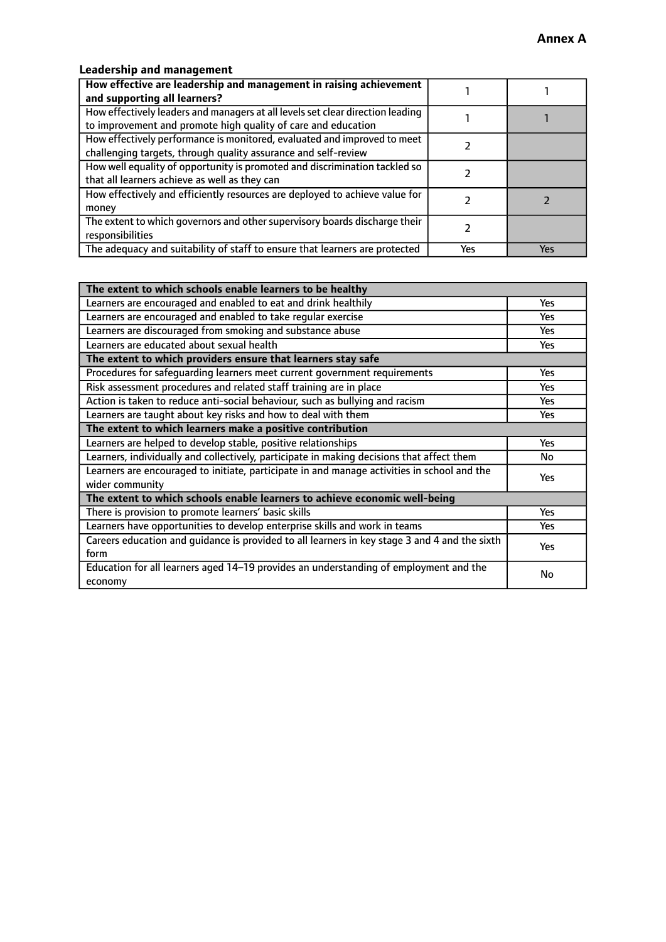## **Leadership and management**

| How effective are leadership and management in raising achievement             |     |     |
|--------------------------------------------------------------------------------|-----|-----|
| and supporting all learners?                                                   |     |     |
| How effectively leaders and managers at all levels set clear direction leading |     |     |
| to improvement and promote high quality of care and education                  |     |     |
| How effectively performance is monitored, evaluated and improved to meet       |     |     |
| challenging targets, through quality assurance and self-review                 |     |     |
| How well equality of opportunity is promoted and discrimination tackled so     |     |     |
| that all learners achieve as well as they can                                  |     |     |
| How effectively and efficiently resources are deployed to achieve value for    |     |     |
| money                                                                          |     |     |
| The extent to which governors and other supervisory boards discharge their     |     |     |
| responsibilities                                                               |     |     |
| The adequacy and suitability of staff to ensure that learners are protected    | Yes | Yes |

| The extent to which schools enable learners to be healthy                                     |            |
|-----------------------------------------------------------------------------------------------|------------|
| Learners are encouraged and enabled to eat and drink healthily                                | <b>Yes</b> |
| Learners are encouraged and enabled to take regular exercise                                  | Yes        |
| Learners are discouraged from smoking and substance abuse                                     | Yes        |
| Learners are educated about sexual health                                                     | Yes        |
| The extent to which providers ensure that learners stay safe                                  |            |
| Procedures for safeguarding learners meet current government requirements                     | Yes        |
| Risk assessment procedures and related staff training are in place                            | Yes        |
| Action is taken to reduce anti-social behaviour, such as bullying and racism                  | Yes        |
| Learners are taught about key risks and how to deal with them                                 | Yes        |
| The extent to which learners make a positive contribution                                     |            |
| Learners are helped to develop stable, positive relationships                                 | Yes        |
| Learners, individually and collectively, participate in making decisions that affect them     | No         |
| Learners are encouraged to initiate, participate in and manage activities in school and the   | <b>Yes</b> |
| wider community                                                                               |            |
| The extent to which schools enable learners to achieve economic well-being                    |            |
| There is provision to promote learners' basic skills                                          | <b>Yes</b> |
| Learners have opportunities to develop enterprise skills and work in teams                    | Yes        |
| Careers education and guidance is provided to all learners in key stage 3 and 4 and the sixth | Yes        |
| form                                                                                          |            |
| Education for all learners aged 14-19 provides an understanding of employment and the         | No         |
| economy                                                                                       |            |